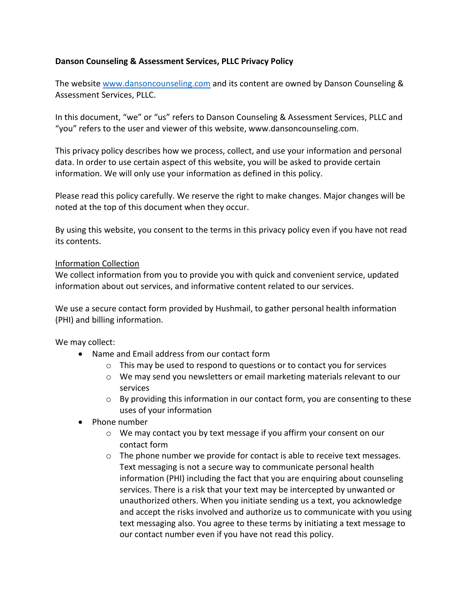# **Danson Counseling & Assessment Services, PLLC Privacy Policy**

The website www.dansoncounseling.com and its content are owned by Danson Counseling & Assessment Services, PLLC.

In this document, "we" or "us" refers to Danson Counseling & Assessment Services, PLLC and "you" refers to the user and viewer of this website, www.dansoncounseling.com.

This privacy policy describes how we process, collect, and use your information and personal data. In order to use certain aspect of this website, you will be asked to provide certain information. We will only use your information as defined in this policy.

Please read this policy carefully. We reserve the right to make changes. Major changes will be noted at the top of this document when they occur.

By using this website, you consent to the terms in this privacy policy even if you have not read its contents.

### Information Collection

We collect information from you to provide you with quick and convenient service, updated information about out services, and informative content related to our services.

We use a secure contact form provided by Hushmail, to gather personal health information (PHI) and billing information.

We may collect:

- Name and Email address from our contact form
	- o This may be used to respond to questions or to contact you for services
	- $\circ$  We may send you newsletters or email marketing materials relevant to our services
	- $\circ$  By providing this information in our contact form, you are consenting to these uses of your information
- Phone number
	- o We may contact you by text message if you affirm your consent on our contact form
	- $\circ$  The phone number we provide for contact is able to receive text messages. Text messaging is not a secure way to communicate personal health information (PHI) including the fact that you are enquiring about counseling services. There is a risk that your text may be intercepted by unwanted or unauthorized others. When you initiate sending us a text, you acknowledge and accept the risks involved and authorize us to communicate with you using text messaging also. You agree to these terms by initiating a text message to our contact number even if you have not read this policy.